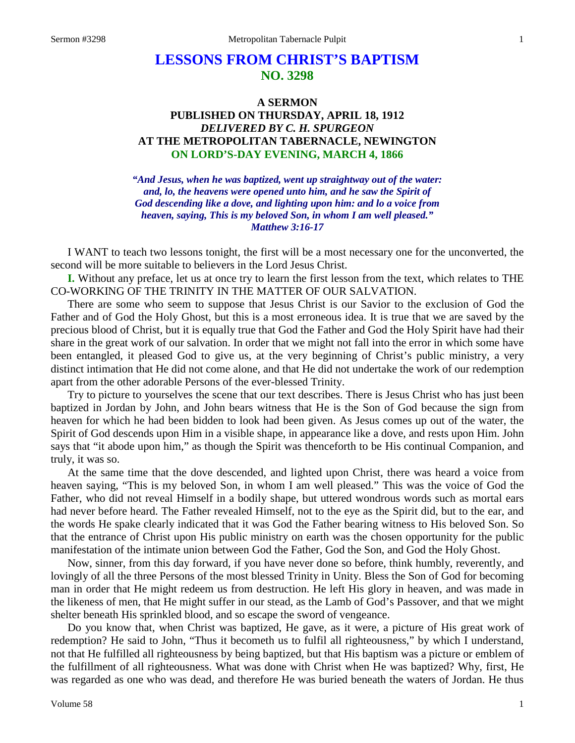# **LESSONS FROM CHRIST'S BAPTISM NO. 3298**

# **A SERMON PUBLISHED ON THURSDAY, APRIL 18, 1912** *DELIVERED BY C. H. SPURGEON* **AT THE METROPOLITAN TABERNACLE, NEWINGTON ON LORD'S-DAY EVENING, MARCH 4, 1866**

*"And Jesus, when he was baptized, went up straightway out of the water: and, lo, the heavens were opened unto him, and he saw the Spirit of God descending like a dove, and lighting upon him: and lo a voice from heaven, saying, This is my beloved Son, in whom I am well pleased." Matthew 3:16-17*

I WANT to teach two lessons tonight, the first will be a most necessary one for the unconverted, the second will be more suitable to believers in the Lord Jesus Christ.

**I.** Without any preface, let us at once try to learn the first lesson from the text, which relates to THE CO-WORKING OF THE TRINITY IN THE MATTER OF OUR SALVATION.

There are some who seem to suppose that Jesus Christ is our Savior to the exclusion of God the Father and of God the Holy Ghost, but this is a most erroneous idea. It is true that we are saved by the precious blood of Christ, but it is equally true that God the Father and God the Holy Spirit have had their share in the great work of our salvation. In order that we might not fall into the error in which some have been entangled, it pleased God to give us, at the very beginning of Christ's public ministry, a very distinct intimation that He did not come alone, and that He did not undertake the work of our redemption apart from the other adorable Persons of the ever-blessed Trinity.

Try to picture to yourselves the scene that our text describes. There is Jesus Christ who has just been baptized in Jordan by John, and John bears witness that He is the Son of God because the sign from heaven for which he had been bidden to look had been given. As Jesus comes up out of the water, the Spirit of God descends upon Him in a visible shape, in appearance like a dove, and rests upon Him. John says that "it abode upon him," as though the Spirit was thenceforth to be His continual Companion, and truly, it was so.

At the same time that the dove descended, and lighted upon Christ, there was heard a voice from heaven saying, "This is my beloved Son, in whom I am well pleased." This was the voice of God the Father, who did not reveal Himself in a bodily shape, but uttered wondrous words such as mortal ears had never before heard. The Father revealed Himself, not to the eye as the Spirit did, but to the ear, and the words He spake clearly indicated that it was God the Father bearing witness to His beloved Son. So that the entrance of Christ upon His public ministry on earth was the chosen opportunity for the public manifestation of the intimate union between God the Father, God the Son, and God the Holy Ghost.

Now, sinner, from this day forward, if you have never done so before, think humbly, reverently, and lovingly of all the three Persons of the most blessed Trinity in Unity. Bless the Son of God for becoming man in order that He might redeem us from destruction. He left His glory in heaven, and was made in the likeness of men, that He might suffer in our stead, as the Lamb of God's Passover, and that we might shelter beneath His sprinkled blood, and so escape the sword of vengeance.

Do you know that, when Christ was baptized, He gave, as it were, a picture of His great work of redemption? He said to John, "Thus it becometh us to fulfil all righteousness," by which I understand, not that He fulfilled all righteousness by being baptized, but that His baptism was a picture or emblem of the fulfillment of all righteousness. What was done with Christ when He was baptized? Why, first, He was regarded as one who was dead, and therefore He was buried beneath the waters of Jordan. He thus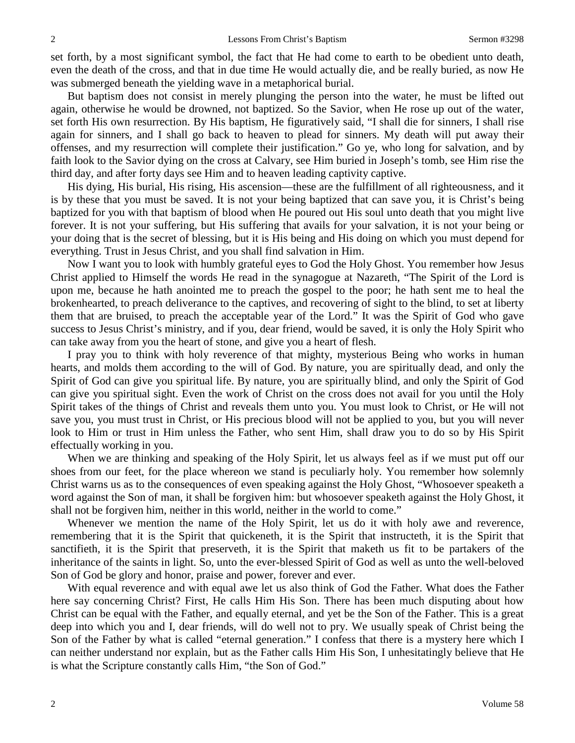set forth, by a most significant symbol, the fact that He had come to earth to be obedient unto death, even the death of the cross, and that in due time He would actually die, and be really buried, as now He was submerged beneath the yielding wave in a metaphorical burial.

But baptism does not consist in merely plunging the person into the water, he must be lifted out again, otherwise he would be drowned, not baptized. So the Savior, when He rose up out of the water, set forth His own resurrection. By His baptism, He figuratively said, "I shall die for sinners, I shall rise again for sinners, and I shall go back to heaven to plead for sinners. My death will put away their offenses, and my resurrection will complete their justification." Go ye, who long for salvation, and by faith look to the Savior dying on the cross at Calvary, see Him buried in Joseph's tomb, see Him rise the third day, and after forty days see Him and to heaven leading captivity captive.

His dying, His burial, His rising, His ascension—these are the fulfillment of all righteousness, and it is by these that you must be saved. It is not your being baptized that can save you, it is Christ's being baptized for you with that baptism of blood when He poured out His soul unto death that you might live forever. It is not your suffering, but His suffering that avails for your salvation, it is not your being or your doing that is the secret of blessing, but it is His being and His doing on which you must depend for everything. Trust in Jesus Christ, and you shall find salvation in Him.

Now I want you to look with humbly grateful eyes to God the Holy Ghost. You remember how Jesus Christ applied to Himself the words He read in the synagogue at Nazareth, "The Spirit of the Lord is upon me, because he hath anointed me to preach the gospel to the poor; he hath sent me to heal the brokenhearted, to preach deliverance to the captives, and recovering of sight to the blind, to set at liberty them that are bruised, to preach the acceptable year of the Lord." It was the Spirit of God who gave success to Jesus Christ's ministry, and if you, dear friend, would be saved, it is only the Holy Spirit who can take away from you the heart of stone, and give you a heart of flesh.

I pray you to think with holy reverence of that mighty, mysterious Being who works in human hearts, and molds them according to the will of God. By nature, you are spiritually dead, and only the Spirit of God can give you spiritual life. By nature, you are spiritually blind, and only the Spirit of God can give you spiritual sight. Even the work of Christ on the cross does not avail for you until the Holy Spirit takes of the things of Christ and reveals them unto you. You must look to Christ, or He will not save you, you must trust in Christ, or His precious blood will not be applied to you, but you will never look to Him or trust in Him unless the Father, who sent Him, shall draw you to do so by His Spirit effectually working in you.

When we are thinking and speaking of the Holy Spirit, let us always feel as if we must put off our shoes from our feet, for the place whereon we stand is peculiarly holy. You remember how solemnly Christ warns us as to the consequences of even speaking against the Holy Ghost, "Whosoever speaketh a word against the Son of man, it shall be forgiven him: but whosoever speaketh against the Holy Ghost, it shall not be forgiven him, neither in this world, neither in the world to come."

Whenever we mention the name of the Holy Spirit, let us do it with holy awe and reverence, remembering that it is the Spirit that quickeneth, it is the Spirit that instructeth, it is the Spirit that sanctifieth, it is the Spirit that preserveth, it is the Spirit that maketh us fit to be partakers of the inheritance of the saints in light. So, unto the ever-blessed Spirit of God as well as unto the well-beloved Son of God be glory and honor, praise and power, forever and ever.

With equal reverence and with equal awe let us also think of God the Father. What does the Father here say concerning Christ? First, He calls Him His Son. There has been much disputing about how Christ can be equal with the Father, and equally eternal, and yet be the Son of the Father. This is a great deep into which you and I, dear friends, will do well not to pry. We usually speak of Christ being the Son of the Father by what is called "eternal generation." I confess that there is a mystery here which I can neither understand nor explain, but as the Father calls Him His Son, I unhesitatingly believe that He is what the Scripture constantly calls Him, "the Son of God."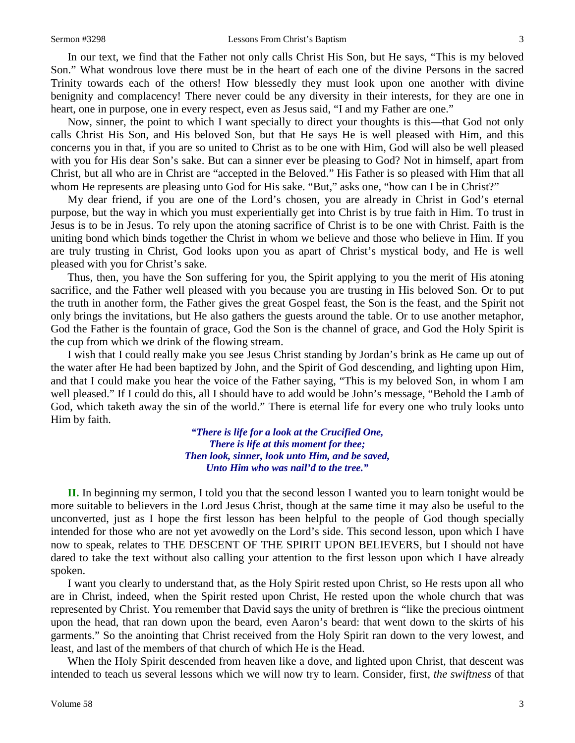In our text, we find that the Father not only calls Christ His Son, but He says, "This is my beloved Son." What wondrous love there must be in the heart of each one of the divine Persons in the sacred Trinity towards each of the others! How blessedly they must look upon one another with divine benignity and complacency! There never could be any diversity in their interests, for they are one in heart, one in purpose, one in every respect, even as Jesus said, "I and my Father are one."

Now, sinner, the point to which I want specially to direct your thoughts is this—that God not only calls Christ His Son, and His beloved Son, but that He says He is well pleased with Him, and this concerns you in that, if you are so united to Christ as to be one with Him, God will also be well pleased with you for His dear Son's sake. But can a sinner ever be pleasing to God? Not in himself, apart from Christ, but all who are in Christ are "accepted in the Beloved." His Father is so pleased with Him that all whom He represents are pleasing unto God for His sake. "But," asks one, "how can I be in Christ?"

My dear friend, if you are one of the Lord's chosen, you are already in Christ in God's eternal purpose, but the way in which you must experientially get into Christ is by true faith in Him. To trust in Jesus is to be in Jesus. To rely upon the atoning sacrifice of Christ is to be one with Christ. Faith is the uniting bond which binds together the Christ in whom we believe and those who believe in Him. If you are truly trusting in Christ, God looks upon you as apart of Christ's mystical body, and He is well pleased with you for Christ's sake.

Thus, then, you have the Son suffering for you, the Spirit applying to you the merit of His atoning sacrifice, and the Father well pleased with you because you are trusting in His beloved Son. Or to put the truth in another form, the Father gives the great Gospel feast, the Son is the feast, and the Spirit not only brings the invitations, but He also gathers the guests around the table. Or to use another metaphor, God the Father is the fountain of grace, God the Son is the channel of grace, and God the Holy Spirit is the cup from which we drink of the flowing stream.

I wish that I could really make you see Jesus Christ standing by Jordan's brink as He came up out of the water after He had been baptized by John, and the Spirit of God descending, and lighting upon Him, and that I could make you hear the voice of the Father saying, "This is my beloved Son, in whom I am well pleased." If I could do this, all I should have to add would be John's message, "Behold the Lamb of God, which taketh away the sin of the world." There is eternal life for every one who truly looks unto Him by faith.

> *"There is life for a look at the Crucified One, There is life at this moment for thee; Then look, sinner, look unto Him, and be saved, Unto Him who was nail'd to the tree."*

**II.** In beginning my sermon, I told you that the second lesson I wanted you to learn tonight would be more suitable to believers in the Lord Jesus Christ, though at the same time it may also be useful to the unconverted, just as I hope the first lesson has been helpful to the people of God though specially intended for those who are not yet avowedly on the Lord's side. This second lesson, upon which I have now to speak, relates to THE DESCENT OF THE SPIRIT UPON BELIEVERS, but I should not have dared to take the text without also calling your attention to the first lesson upon which I have already spoken.

I want you clearly to understand that, as the Holy Spirit rested upon Christ, so He rests upon all who are in Christ, indeed, when the Spirit rested upon Christ, He rested upon the whole church that was represented by Christ. You remember that David says the unity of brethren is "like the precious ointment upon the head, that ran down upon the beard, even Aaron's beard: that went down to the skirts of his garments." So the anointing that Christ received from the Holy Spirit ran down to the very lowest, and least, and last of the members of that church of which He is the Head.

When the Holy Spirit descended from heaven like a dove, and lighted upon Christ, that descent was intended to teach us several lessons which we will now try to learn. Consider, first, *the swiftness* of that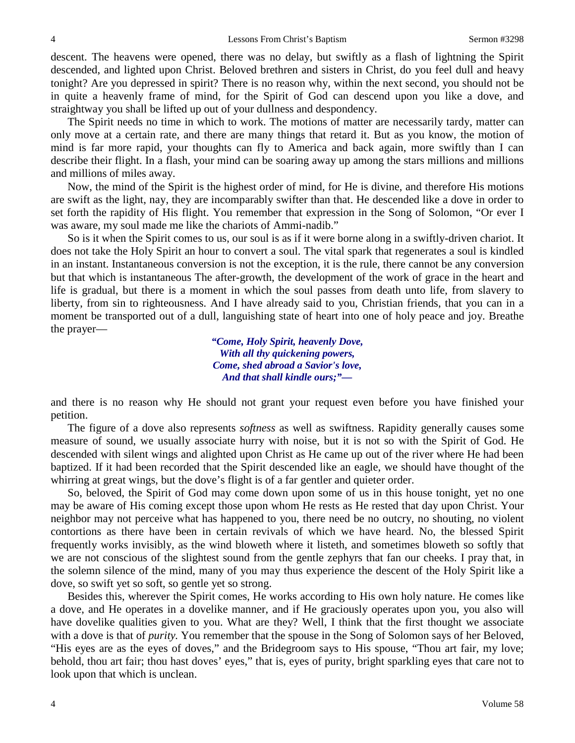descent. The heavens were opened, there was no delay, but swiftly as a flash of lightning the Spirit descended, and lighted upon Christ. Beloved brethren and sisters in Christ, do you feel dull and heavy tonight? Are you depressed in spirit? There is no reason why, within the next second, you should not be in quite a heavenly frame of mind, for the Spirit of God can descend upon you like a dove, and straightway you shall be lifted up out of your dullness and despondency.

The Spirit needs no time in which to work. The motions of matter are necessarily tardy, matter can only move at a certain rate, and there are many things that retard it. But as you know, the motion of mind is far more rapid, your thoughts can fly to America and back again, more swiftly than I can describe their flight. In a flash, your mind can be soaring away up among the stars millions and millions and millions of miles away.

Now, the mind of the Spirit is the highest order of mind, for He is divine, and therefore His motions are swift as the light, nay, they are incomparably swifter than that. He descended like a dove in order to set forth the rapidity of His flight. You remember that expression in the Song of Solomon, "Or ever I was aware, my soul made me like the chariots of Ammi-nadib."

So is it when the Spirit comes to us, our soul is as if it were borne along in a swiftly-driven chariot. It does not take the Holy Spirit an hour to convert a soul. The vital spark that regenerates a soul is kindled in an instant. Instantaneous conversion is not the exception, it is the rule, there cannot be any conversion but that which is instantaneous The after-growth, the development of the work of grace in the heart and life is gradual, but there is a moment in which the soul passes from death unto life, from slavery to liberty, from sin to righteousness. And I have already said to you, Christian friends, that you can in a moment be transported out of a dull, languishing state of heart into one of holy peace and joy. Breathe the prayer—

> *"Come, Holy Spirit, heavenly Dove, With all thy quickening powers, Come, shed abroad a Savior's love, And that shall kindle ours;"—*

and there is no reason why He should not grant your request even before you have finished your petition.

The figure of a dove also represents *softness* as well as swiftness. Rapidity generally causes some measure of sound, we usually associate hurry with noise, but it is not so with the Spirit of God. He descended with silent wings and alighted upon Christ as He came up out of the river where He had been baptized. If it had been recorded that the Spirit descended like an eagle, we should have thought of the whirring at great wings, but the dove's flight is of a far gentler and quieter order.

So, beloved, the Spirit of God may come down upon some of us in this house tonight, yet no one may be aware of His coming except those upon whom He rests as He rested that day upon Christ. Your neighbor may not perceive what has happened to you, there need be no outcry, no shouting, no violent contortions as there have been in certain revivals of which we have heard. No, the blessed Spirit frequently works invisibly, as the wind bloweth where it listeth, and sometimes bloweth so softly that we are not conscious of the slightest sound from the gentle zephyrs that fan our cheeks. I pray that, in the solemn silence of the mind, many of you may thus experience the descent of the Holy Spirit like a dove, so swift yet so soft, so gentle yet so strong.

Besides this, wherever the Spirit comes, He works according to His own holy nature. He comes like a dove, and He operates in a dovelike manner, and if He graciously operates upon you, you also will have dovelike qualities given to you. What are they? Well, I think that the first thought we associate with a dove is that of *purity.* You remember that the spouse in the Song of Solomon says of her Beloved, "His eyes are as the eyes of doves," and the Bridegroom says to His spouse, "Thou art fair, my love; behold, thou art fair; thou hast doves' eyes," that is, eyes of purity, bright sparkling eyes that care not to look upon that which is unclean.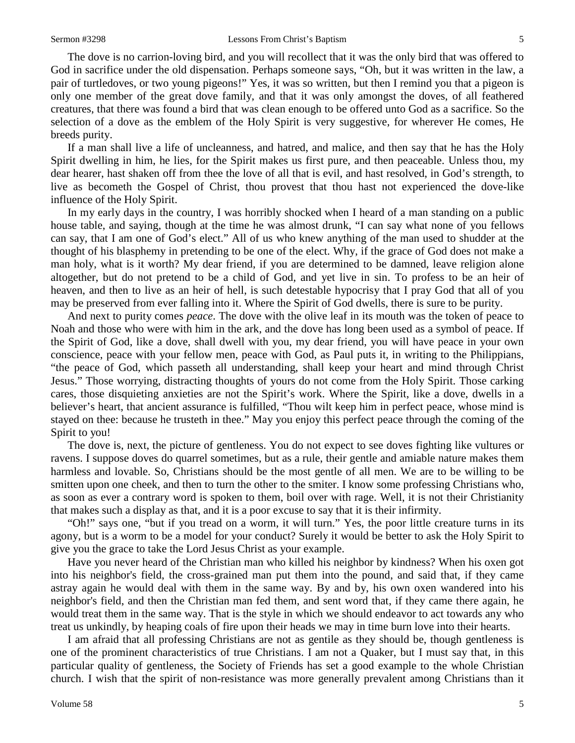The dove is no carrion-loving bird, and you will recollect that it was the only bird that was offered to God in sacrifice under the old dispensation. Perhaps someone says, "Oh, but it was written in the law, a pair of turtledoves, or two young pigeons!" Yes, it was so written, but then I remind you that a pigeon is only one member of the great dove family, and that it was only amongst the doves, of all feathered creatures, that there was found a bird that was clean enough to be offered unto God as a sacrifice. So the selection of a dove as the emblem of the Holy Spirit is very suggestive, for wherever He comes, He breeds purity.

If a man shall live a life of uncleanness, and hatred, and malice, and then say that he has the Holy Spirit dwelling in him, he lies, for the Spirit makes us first pure, and then peaceable. Unless thou, my dear hearer, hast shaken off from thee the love of all that is evil, and hast resolved, in God's strength, to live as becometh the Gospel of Christ, thou provest that thou hast not experienced the dove-like influence of the Holy Spirit.

In my early days in the country, I was horribly shocked when I heard of a man standing on a public house table, and saying, though at the time he was almost drunk, "I can say what none of you fellows can say, that I am one of God's elect." All of us who knew anything of the man used to shudder at the thought of his blasphemy in pretending to be one of the elect. Why, if the grace of God does not make a man holy, what is it worth? My dear friend, if you are determined to be damned, leave religion alone altogether, but do not pretend to be a child of God, and yet live in sin. To profess to be an heir of heaven, and then to live as an heir of hell, is such detestable hypocrisy that I pray God that all of you may be preserved from ever falling into it. Where the Spirit of God dwells, there is sure to be purity.

And next to purity comes *peace*. The dove with the olive leaf in its mouth was the token of peace to Noah and those who were with him in the ark, and the dove has long been used as a symbol of peace. If the Spirit of God, like a dove, shall dwell with you, my dear friend, you will have peace in your own conscience, peace with your fellow men, peace with God, as Paul puts it, in writing to the Philippians, "the peace of God, which passeth all understanding, shall keep your heart and mind through Christ Jesus." Those worrying, distracting thoughts of yours do not come from the Holy Spirit. Those carking cares, those disquieting anxieties are not the Spirit's work. Where the Spirit, like a dove, dwells in a believer's heart, that ancient assurance is fulfilled, "Thou wilt keep him in perfect peace, whose mind is stayed on thee: because he trusteth in thee." May you enjoy this perfect peace through the coming of the Spirit to you!

The dove is, next, the picture of gentleness. You do not expect to see doves fighting like vultures or ravens. I suppose doves do quarrel sometimes, but as a rule, their gentle and amiable nature makes them harmless and lovable. So, Christians should be the most gentle of all men. We are to be willing to be smitten upon one cheek, and then to turn the other to the smiter. I know some professing Christians who, as soon as ever a contrary word is spoken to them, boil over with rage. Well, it is not their Christianity that makes such a display as that, and it is a poor excuse to say that it is their infirmity.

"Oh!" says one, "but if you tread on a worm, it will turn." Yes, the poor little creature turns in its agony, but is a worm to be a model for your conduct? Surely it would be better to ask the Holy Spirit to give you the grace to take the Lord Jesus Christ as your example.

Have you never heard of the Christian man who killed his neighbor by kindness? When his oxen got into his neighbor's field, the cross-grained man put them into the pound, and said that, if they came astray again he would deal with them in the same way. By and by, his own oxen wandered into his neighbor's field, and then the Christian man fed them, and sent word that, if they came there again, he would treat them in the same way. That is the style in which we should endeavor to act towards any who treat us unkindly, by heaping coals of fire upon their heads we may in time burn love into their hearts.

I am afraid that all professing Christians are not as gentile as they should be, though gentleness is one of the prominent characteristics of true Christians. I am not a Quaker, but I must say that, in this particular quality of gentleness, the Society of Friends has set a good example to the whole Christian church. I wish that the spirit of non-resistance was more generally prevalent among Christians than it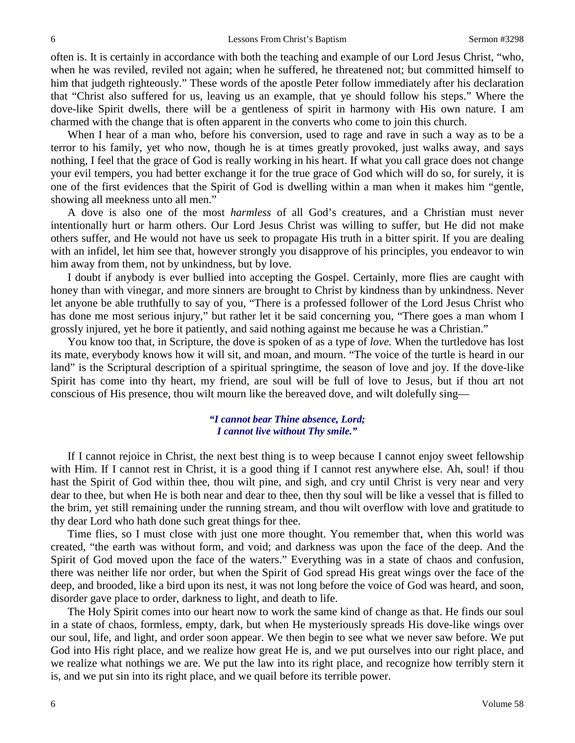often is. It is certainly in accordance with both the teaching and example of our Lord Jesus Christ, "who, when he was reviled, reviled not again; when he suffered, he threatened not; but committed himself to him that judgeth righteously." These words of the apostle Peter follow immediately after his declaration that "Christ also suffered for us, leaving us an example, that ye should follow his steps." Where the dove-like Spirit dwells, there will be a gentleness of spirit in harmony with His own nature. I am charmed with the change that is often apparent in the converts who come to join this church.

When I hear of a man who, before his conversion, used to rage and rave in such a way as to be a terror to his family, yet who now, though he is at times greatly provoked, just walks away, and says nothing, I feel that the grace of God is really working in his heart. If what you call grace does not change your evil tempers, you had better exchange it for the true grace of God which will do so, for surely, it is one of the first evidences that the Spirit of God is dwelling within a man when it makes him "gentle, showing all meekness unto all men."

A dove is also one of the most *harmless* of all God's creatures, and a Christian must never intentionally hurt or harm others. Our Lord Jesus Christ was willing to suffer, but He did not make others suffer, and He would not have us seek to propagate His truth in a bitter spirit. If you are dealing with an infidel, let him see that, however strongly you disapprove of his principles, you endeavor to win him away from them, not by unkindness, but by love.

I doubt if anybody is ever bullied into accepting the Gospel. Certainly, more flies are caught with honey than with vinegar, and more sinners are brought to Christ by kindness than by unkindness. Never let anyone be able truthfully to say of you, "There is a professed follower of the Lord Jesus Christ who has done me most serious injury," but rather let it be said concerning you, "There goes a man whom I grossly injured, yet he bore it patiently, and said nothing against me because he was a Christian."

You know too that, in Scripture, the dove is spoken of as a type of *love.* When the turtledove has lost its mate, everybody knows how it will sit, and moan, and mourn. "The voice of the turtle is heard in our land" is the Scriptural description of a spiritual springtime, the season of love and joy. If the dove-like Spirit has come into thy heart, my friend, are soul will be full of love to Jesus, but if thou art not conscious of His presence, thou wilt mourn like the bereaved dove, and wilt dolefully sing—

### *"I cannot bear Thine absence, Lord; I cannot live without Thy smile."*

If I cannot rejoice in Christ, the next best thing is to weep because I cannot enjoy sweet fellowship with Him. If I cannot rest in Christ, it is a good thing if I cannot rest anywhere else. Ah, soul! if thou hast the Spirit of God within thee, thou wilt pine, and sigh, and cry until Christ is very near and very dear to thee, but when He is both near and dear to thee, then thy soul will be like a vessel that is filled to the brim, yet still remaining under the running stream, and thou wilt overflow with love and gratitude to thy dear Lord who hath done such great things for thee.

Time flies, so I must close with just one more thought. You remember that, when this world was created, "the earth was without form, and void; and darkness was upon the face of the deep. And the Spirit of God moved upon the face of the waters." Everything was in a state of chaos and confusion, there was neither life nor order, but when the Spirit of God spread His great wings over the face of the deep, and brooded, like a bird upon its nest, it was not long before the voice of God was heard, and soon, disorder gave place to order, darkness to light, and death to life.

The Holy Spirit comes into our heart now to work the same kind of change as that. He finds our soul in a state of chaos, formless, empty, dark, but when He mysteriously spreads His dove-like wings over our soul, life, and light, and order soon appear. We then begin to see what we never saw before. We put God into His right place, and we realize how great He is, and we put ourselves into our right place, and we realize what nothings we are. We put the law into its right place, and recognize how terribly stern it is, and we put sin into its right place, and we quail before its terrible power.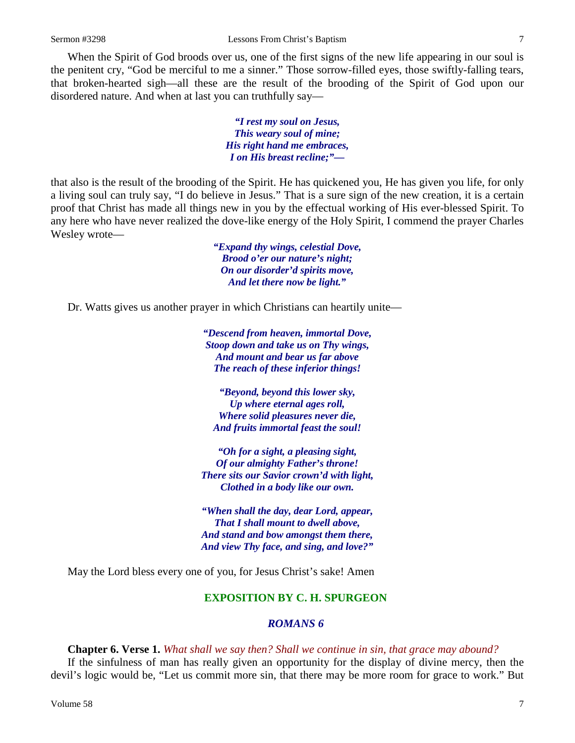When the Spirit of God broods over us, one of the first signs of the new life appearing in our soul is the penitent cry, "God be merciful to me a sinner." Those sorrow-filled eyes, those swiftly-falling tears, that broken-hearted sigh—all these are the result of the brooding of the Spirit of God upon our disordered nature. And when at last you can truthfully say—

> *"I rest my soul on Jesus, This weary soul of mine; His right hand me embraces, I on His breast recline;"—*

that also is the result of the brooding of the Spirit. He has quickened you, He has given you life, for only a living soul can truly say, "I do believe in Jesus." That is a sure sign of the new creation, it is a certain proof that Christ has made all things new in you by the effectual working of His ever-blessed Spirit. To any here who have never realized the dove-like energy of the Holy Spirit, I commend the prayer Charles Wesley wrote—

> *"Expand thy wings, celestial Dove, Brood o'er our nature's night; On our disorder'd spirits move, And let there now be light."*

Dr. Watts gives us another prayer in which Christians can heartily unite—

*"Descend from heaven, immortal Dove, Stoop down and take us on Thy wings, And mount and bear us far above The reach of these inferior things!*

*"Beyond, beyond this lower sky, Up where eternal ages roll, Where solid pleasures never die, And fruits immortal feast the soul!*

*"Oh for a sight, a pleasing sight, Of our almighty Father's throne! There sits our Savior crown'd with light, Clothed in a body like our own.*

*"When shall the day, dear Lord, appear, That I shall mount to dwell above, And stand and bow amongst them there, And view Thy face, and sing, and love?"*

May the Lord bless every one of you, for Jesus Christ's sake! Amen

### **EXPOSITION BY C. H. SPURGEON**

#### *ROMANS 6*

**Chapter 6. Verse 1.** *What shall we say then? Shall we continue in sin, that grace may abound?*

If the sinfulness of man has really given an opportunity for the display of divine mercy, then the devil's logic would be, "Let us commit more sin, that there may be more room for grace to work." But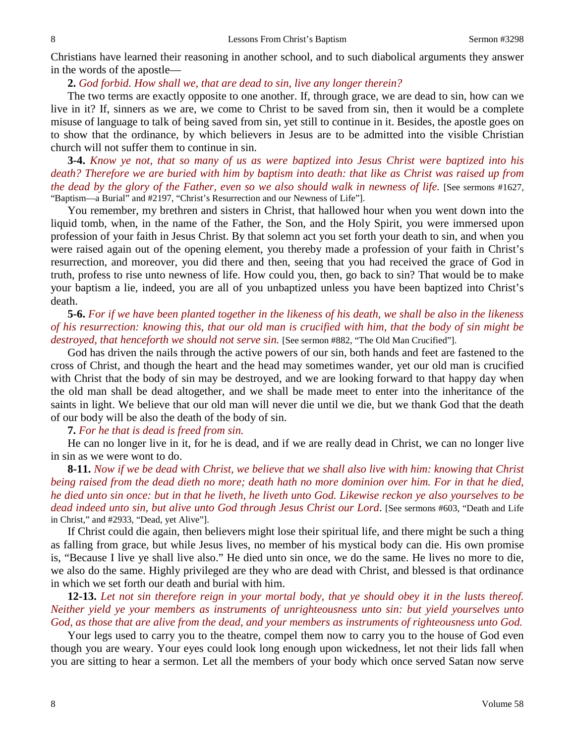Christians have learned their reasoning in another school, and to such diabolical arguments they answer in the words of the apostle—

## **2.** *God forbid. How shall we, that are dead to sin, live any longer therein?*

The two terms are exactly opposite to one another. If, through grace, we are dead to sin, how can we live in it? If, sinners as we are, we come to Christ to be saved from sin, then it would be a complete misuse of language to talk of being saved from sin, yet still to continue in it. Besides, the apostle goes on to show that the ordinance, by which believers in Jesus are to be admitted into the visible Christian church will not suffer them to continue in sin.

**3-4.** *Know ye not, that so many of us as were baptized into Jesus Christ were baptized into his death? Therefore we are buried with him by baptism into death: that like as Christ was raised up from the dead by the glory of the Father, even so we also should walk in newness of life.* [See sermons #1627, "Baptism—a Burial" and #2197, "Christ's Resurrection and our Newness of Life"].

You remember, my brethren and sisters in Christ, that hallowed hour when you went down into the liquid tomb, when, in the name of the Father, the Son, and the Holy Spirit, you were immersed upon profession of your faith in Jesus Christ. By that solemn act you set forth your death to sin, and when you were raised again out of the opening element, you thereby made a profession of your faith in Christ's resurrection, and moreover, you did there and then, seeing that you had received the grace of God in truth, profess to rise unto newness of life. How could you, then, go back to sin? That would be to make your baptism a lie, indeed, you are all of you unbaptized unless you have been baptized into Christ's death.

# **5-6.** *For if we have been planted together in the likeness of his death, we shall be also in the likeness of his resurrection: knowing this, that our old man is crucified with him, that the body of sin might be destroyed, that henceforth we should not serve sin.* [See sermon #882, "The Old Man Crucified"].

God has driven the nails through the active powers of our sin, both hands and feet are fastened to the cross of Christ, and though the heart and the head may sometimes wander, yet our old man is crucified with Christ that the body of sin may be destroyed, and we are looking forward to that happy day when the old man shall be dead altogether, and we shall be made meet to enter into the inheritance of the saints in light. We believe that our old man will never die until we die, but we thank God that the death of our body will be also the death of the body of sin.

#### **7.** *For he that is dead is freed from sin.*

He can no longer live in it, for he is dead, and if we are really dead in Christ, we can no longer live in sin as we were wont to do.

**8-11.** *Now if we be dead with Christ, we believe that we shall also live with him: knowing that Christ being raised from the dead dieth no more; death hath no more dominion over him. For in that he died, he died unto sin once: but in that he liveth, he liveth unto God. Likewise reckon ye also yourselves to be dead indeed unto sin, but alive unto God through Jesus Christ our Lord*. [See sermons #603, "Death and Life in Christ," and #2933, "Dead, yet Alive"].

If Christ could die again, then believers might lose their spiritual life, and there might be such a thing as falling from grace, but while Jesus lives, no member of his mystical body can die. His own promise is, "Because I live ye shall live also." He died unto sin once, we do the same. He lives no more to die, we also do the same. Highly privileged are they who are dead with Christ, and blessed is that ordinance in which we set forth our death and burial with him.

**12-13.** *Let not sin therefore reign in your mortal body, that ye should obey it in the lusts thereof. Neither yield ye your members as instruments of unrighteousness unto sin: but yield yourselves unto God, as those that are alive from the dead, and your members as instruments of righteousness unto God.*

Your legs used to carry you to the theatre, compel them now to carry you to the house of God even though you are weary. Your eyes could look long enough upon wickedness, let not their lids fall when you are sitting to hear a sermon. Let all the members of your body which once served Satan now serve